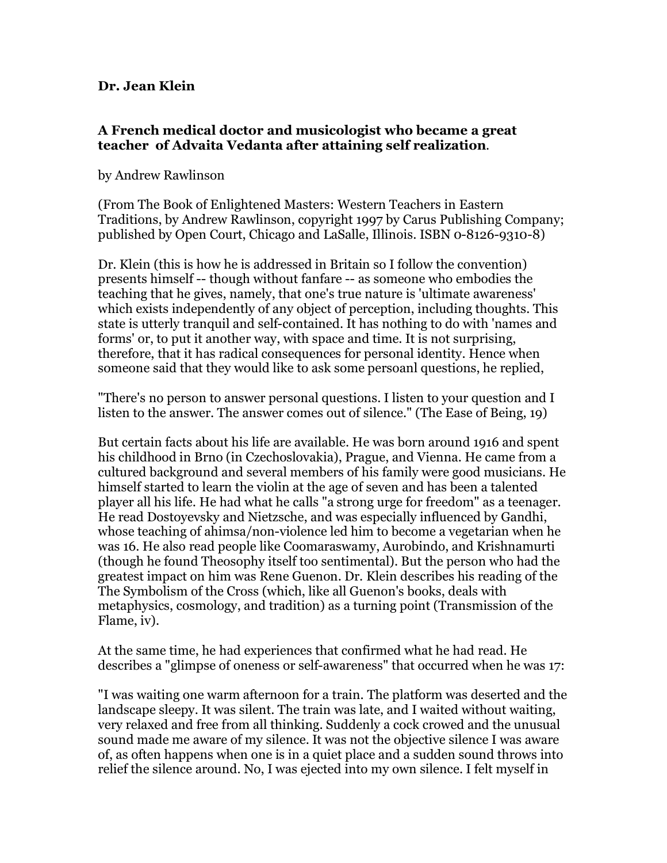## **Dr. Jean Klein**

## **A French medical doctor and musicologist who became a great teacher of Advaita Vedanta after attaining self realization**.

## by Andrew Rawlinson

(From The Book of Enlightened Masters: Western Teachers in Eastern Traditions, by Andrew Rawlinson, copyright 1997 by Carus Publishing Company; published by Open Court, Chicago and LaSalle, Illinois. ISBN 0-8126-9310-8)

Dr. Klein (this is how he is addressed in Britain so I follow the convention) presents himself -- though without fanfare -- as someone who embodies the teaching that he gives, namely, that one's true nature is 'ultimate awareness' which exists independently of any object of perception, including thoughts. This state is utterly tranquil and self-contained. It has nothing to do with 'names and forms' or, to put it another way, with space and time. It is not surprising, therefore, that it has radical consequences for personal identity. Hence when someone said that they would like to ask some persoanl questions, he replied,

"There's no person to answer personal questions. I listen to your question and I listen to the answer. The answer comes out of silence." (The Ease of Being, 19)

But certain facts about his life are available. He was born around 1916 and spent his childhood in Brno (in Czechoslovakia), Prague, and Vienna. He came from a cultured background and several members of his family were good musicians. He himself started to learn the violin at the age of seven and has been a talented player all his life. He had what he calls "a strong urge for freedom" as a teenager. He read Dostoyevsky and Nietzsche, and was especially influenced by Gandhi, whose teaching of ahimsa/non-violence led him to become a vegetarian when he was 16. He also read people like Coomaraswamy, Aurobindo, and Krishnamurti (though he found Theosophy itself too sentimental). But the person who had the greatest impact on him was Rene Guenon. Dr. Klein describes his reading of the The Symbolism of the Cross (which, like all Guenon's books, deals with metaphysics, cosmology, and tradition) as a turning point (Transmission of the Flame, iv).

At the same time, he had experiences that confirmed what he had read. He describes a "glimpse of oneness or self-awareness" that occurred when he was 17:

"I was waiting one warm afternoon for a train. The platform was deserted and the landscape sleepy. It was silent. The train was late, and I waited without waiting, very relaxed and free from all thinking. Suddenly a cock crowed and the unusual sound made me aware of my silence. It was not the objective silence I was aware of, as often happens when one is in a quiet place and a sudden sound throws into relief the silence around. No, I was ejected into my own silence. I felt myself in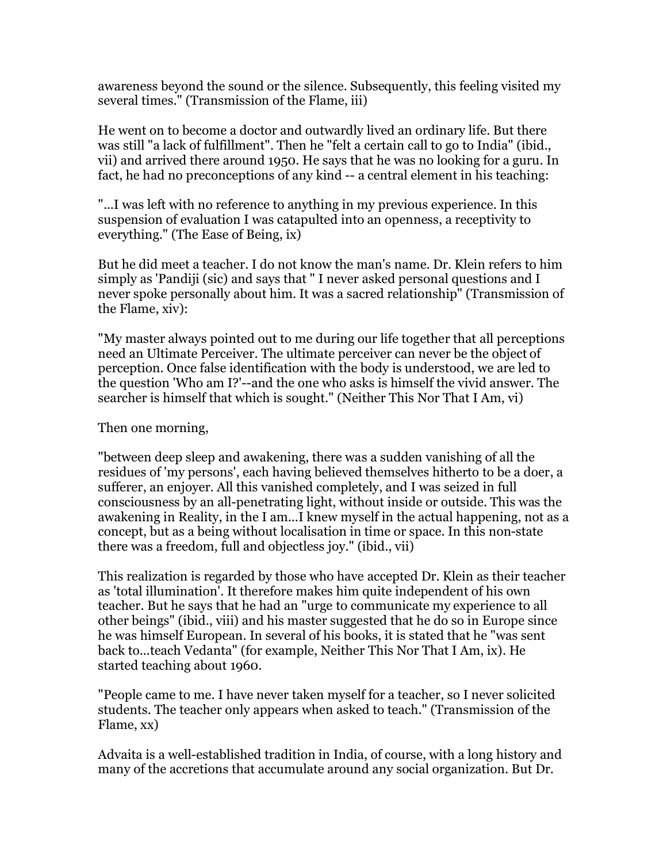awareness beyond the sound or the silence. Subsequently, this feeling visited my several times." (Transmission of the Flame, iii)

He went on to become a doctor and outwardly lived an ordinary life. But there was still "a lack of fulfillment". Then he "felt a certain call to go to India" (ibid., vii) and arrived there around 1950. He says that he was no looking for a guru. In fact, he had no preconceptions of any kind -- a central element in his teaching:

"...I was left with no reference to anything in my previous experience. In this suspension of evaluation I was catapulted into an openness, a receptivity to everything." (The Ease of Being, ix)

But he did meet a teacher. I do not know the man's name. Dr. Klein refers to him simply as 'Pandiji (sic) and says that " I never asked personal questions and I never spoke personally about him. It was a sacred relationship" (Transmission of the Flame, xiv):

"My master always pointed out to me during our life together that all perceptions need an Ultimate Perceiver. The ultimate perceiver can never be the object of perception. Once false identification with the body is understood, we are led to the question 'Who am I?'--and the one who asks is himself the vivid answer. The searcher is himself that which is sought." (Neither This Nor That I Am, vi)

Then one morning,

"between deep sleep and awakening, there was a sudden vanishing of all the residues of 'my persons', each having believed themselves hitherto to be a doer, a sufferer, an enjoyer. All this vanished completely, and I was seized in full consciousness by an all-penetrating light, without inside or outside. This was the awakening in Reality, in the I am...I knew myself in the actual happening, not as a concept, but as a being without localisation in time or space. In this non-state there was a freedom, full and objectless joy." (ibid., vii)

This realization is regarded by those who have accepted Dr. Klein as their teacher as 'total illumination'. It therefore makes him quite independent of his own teacher. But he says that he had an "urge to communicate my experience to all other beings" (ibid., viii) and his master suggested that he do so in Europe since he was himself European. In several of his books, it is stated that he "was sent back to...teach Vedanta" (for example, Neither This Nor That I Am, ix). He started teaching about 1960.

"People came to me. I have never taken myself for a teacher, so I never solicited students. The teacher only appears when asked to teach." (Transmission of the Flame, xx)

Advaita is a well-established tradition in India, of course, with a long history and many of the accretions that accumulate around any social organization. But Dr.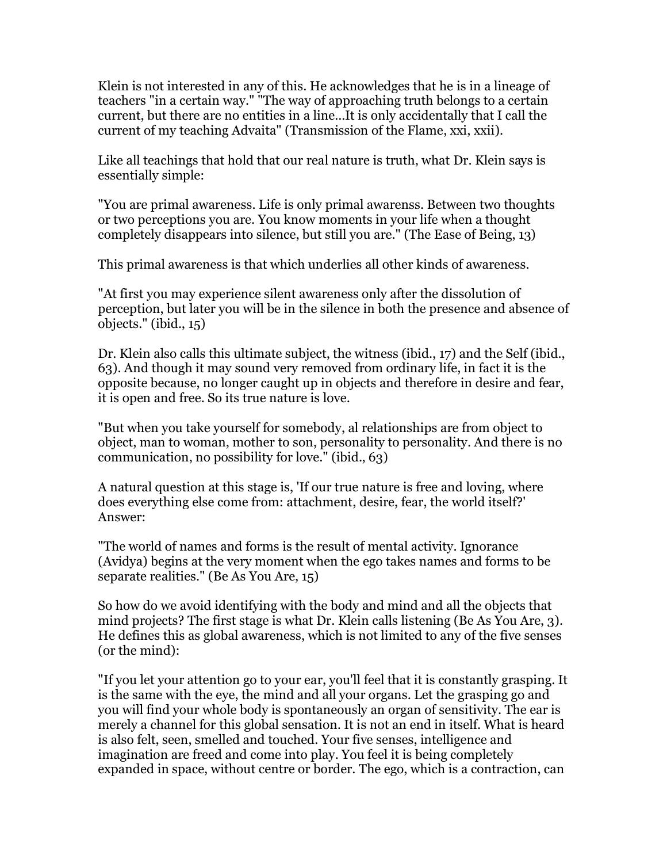Klein is not interested in any of this. He acknowledges that he is in a lineage of teachers "in a certain way." "The way of approaching truth belongs to a certain current, but there are no entities in a line...It is only accidentally that I call the current of my teaching Advaita" (Transmission of the Flame, xxi, xxii).

Like all teachings that hold that our real nature is truth, what Dr. Klein says is essentially simple:

"You are primal awareness. Life is only primal awarenss. Between two thoughts or two perceptions you are. You know moments in your life when a thought completely disappears into silence, but still you are." (The Ease of Being, 13)

This primal awareness is that which underlies all other kinds of awareness.

"At first you may experience silent awareness only after the dissolution of perception, but later you will be in the silence in both the presence and absence of objects." (ibid., 15)

Dr. Klein also calls this ultimate subject, the witness (ibid., 17) and the Self (ibid., 63). And though it may sound very removed from ordinary life, in fact it is the opposite because, no longer caught up in objects and therefore in desire and fear, it is open and free. So its true nature is love.

"But when you take yourself for somebody, al relationships are from object to object, man to woman, mother to son, personality to personality. And there is no communication, no possibility for love." (ibid., 63)

A natural question at this stage is, 'If our true nature is free and loving, where does everything else come from: attachment, desire, fear, the world itself?' Answer:

"The world of names and forms is the result of mental activity. Ignorance (Avidya) begins at the very moment when the ego takes names and forms to be separate realities." (Be As You Are, 15)

So how do we avoid identifying with the body and mind and all the objects that mind projects? The first stage is what Dr. Klein calls listening (Be As You Are, 3). He defines this as global awareness, which is not limited to any of the five senses (or the mind):

"If you let your attention go to your ear, you'll feel that it is constantly grasping. It is the same with the eye, the mind and all your organs. Let the grasping go and you will find your whole body is spontaneously an organ of sensitivity. The ear is merely a channel for this global sensation. It is not an end in itself. What is heard is also felt, seen, smelled and touched. Your five senses, intelligence and imagination are freed and come into play. You feel it is being completely expanded in space, without centre or border. The ego, which is a contraction, can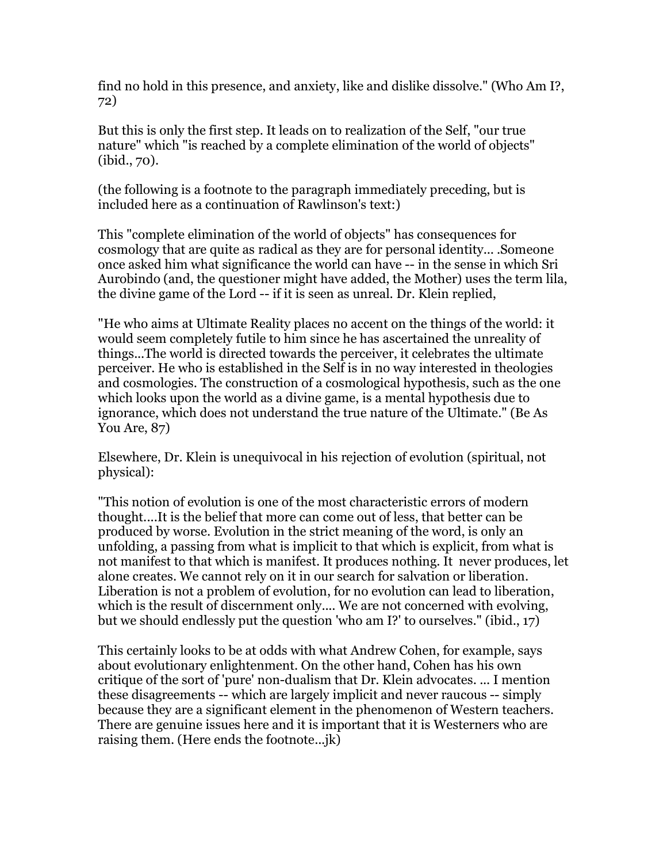find no hold in this presence, and anxiety, like and dislike dissolve." (Who Am I?, 72)

But this is only the first step. It leads on to realization of the Self, "our true nature" which "is reached by a complete elimination of the world of objects" (ibid., 70).

(the following is a footnote to the paragraph immediately preceding, but is included here as a continuation of Rawlinson's text:)

This "complete elimination of the world of objects" has consequences for cosmology that are quite as radical as they are for personal identity... .Someone once asked him what significance the world can have -- in the sense in which Sri Aurobindo (and, the questioner might have added, the Mother) uses the term lila, the divine game of the Lord -- if it is seen as unreal. Dr. Klein replied,

"He who aims at Ultimate Reality places no accent on the things of the world: it would seem completely futile to him since he has ascertained the unreality of things...The world is directed towards the perceiver, it celebrates the ultimate perceiver. He who is established in the Self is in no way interested in theologies and cosmologies. The construction of a cosmological hypothesis, such as the one which looks upon the world as a divine game, is a mental hypothesis due to ignorance, which does not understand the true nature of the Ultimate." (Be As You Are, 87)

Elsewhere, Dr. Klein is unequivocal in his rejection of evolution (spiritual, not physical):

"This notion of evolution is one of the most characteristic errors of modern thought....It is the belief that more can come out of less, that better can be produced by worse. Evolution in the strict meaning of the word, is only an unfolding, a passing from what is implicit to that which is explicit, from what is not manifest to that which is manifest. It produces nothing. It never produces, let alone creates. We cannot rely on it in our search for salvation or liberation. Liberation is not a problem of evolution, for no evolution can lead to liberation, which is the result of discernment only.... We are not concerned with evolving, but we should endlessly put the question 'who am I?' to ourselves." (ibid., 17)

This certainly looks to be at odds with what Andrew Cohen, for example, says about evolutionary enlightenment. On the other hand, Cohen has his own critique of the sort of 'pure' non-dualism that Dr. Klein advocates. ... I mention these disagreements -- which are largely implicit and never raucous -- simply because they are a significant element in the phenomenon of Western teachers. There are genuine issues here and it is important that it is Westerners who are raising them. (Here ends the footnote...jk)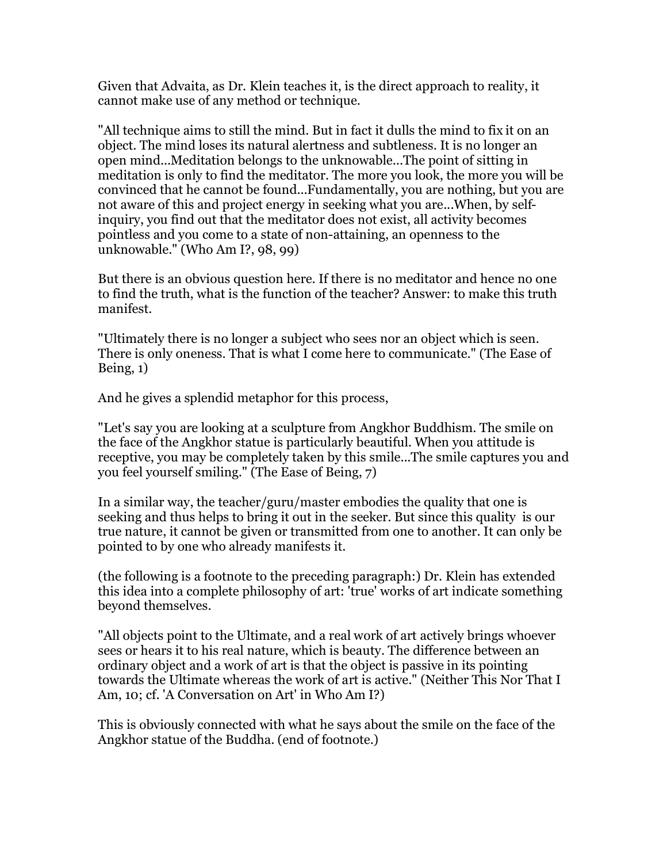Given that Advaita, as Dr. Klein teaches it, is the direct approach to reality, it cannot make use of any method or technique.

"All technique aims to still the mind. But in fact it dulls the mind to fix it on an object. The mind loses its natural alertness and subtleness. It is no longer an open mind...Meditation belongs to the unknowable...The point of sitting in meditation is only to find the meditator. The more you look, the more you will be convinced that he cannot be found...Fundamentally, you are nothing, but you are not aware of this and project energy in seeking what you are...When, by selfinquiry, you find out that the meditator does not exist, all activity becomes pointless and you come to a state of non-attaining, an openness to the unknowable." (Who Am I?, 98, 99)

But there is an obvious question here. If there is no meditator and hence no one to find the truth, what is the function of the teacher? Answer: to make this truth manifest.

"Ultimately there is no longer a subject who sees nor an object which is seen. There is only oneness. That is what I come here to communicate." (The Ease of Being, 1)

And he gives a splendid metaphor for this process,

"Let's say you are looking at a sculpture from Angkhor Buddhism. The smile on the face of the Angkhor statue is particularly beautiful. When you attitude is receptive, you may be completely taken by this smile...The smile captures you and you feel yourself smiling." (The Ease of Being, 7)

In a similar way, the teacher/guru/master embodies the quality that one is seeking and thus helps to bring it out in the seeker. But since this quality is our true nature, it cannot be given or transmitted from one to another. It can only be pointed to by one who already manifests it.

(the following is a footnote to the preceding paragraph:) Dr. Klein has extended this idea into a complete philosophy of art: 'true' works of art indicate something beyond themselves.

"All objects point to the Ultimate, and a real work of art actively brings whoever sees or hears it to his real nature, which is beauty. The difference between an ordinary object and a work of art is that the object is passive in its pointing towards the Ultimate whereas the work of art is active." (Neither This Nor That I Am, 10; cf. 'A Conversation on Art' in Who Am I?)

This is obviously connected with what he says about the smile on the face of the Angkhor statue of the Buddha. (end of footnote.)